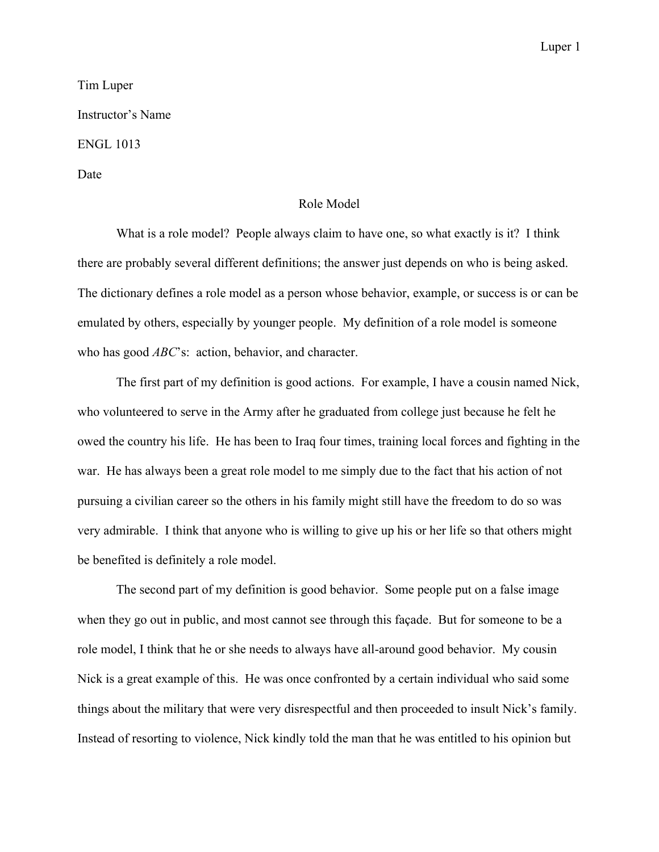## Luper 1

## Tim Luper Instructor's Name ENGL 1013 Date

## Role Model

What is a role model? People always claim to have one, so what exactly is it? I think there are probably several different definitions; the answer just depends on who is being asked. The dictionary defines a role model as a person whose behavior, example, or success is or can be emulated by others, especially by younger people. My definition of a role model is someone who has good *ABC*'s: action, behavior, and character.

The first part of my definition is good actions. For example, I have a cousin named Nick, who volunteered to serve in the Army after he graduated from college just because he felt he owed the country his life. He has been to Iraq four times, training local forces and fighting in the war. He has always been a great role model to me simply due to the fact that his action of not pursuing a civilian career so the others in his family might still have the freedom to do so was very admirable. I think that anyone who is willing to give up his or her life so that others might be benefited is definitely a role model.

The second part of my definition is good behavior. Some people put on a false image when they go out in public, and most cannot see through this façade. But for someone to be a role model, I think that he or she needs to always have all-around good behavior. My cousin Nick is a great example of this. He was once confronted by a certain individual who said some things about the military that were very disrespectful and then proceeded to insult Nick's family. Instead of resorting to violence, Nick kindly told the man that he was entitled to his opinion but